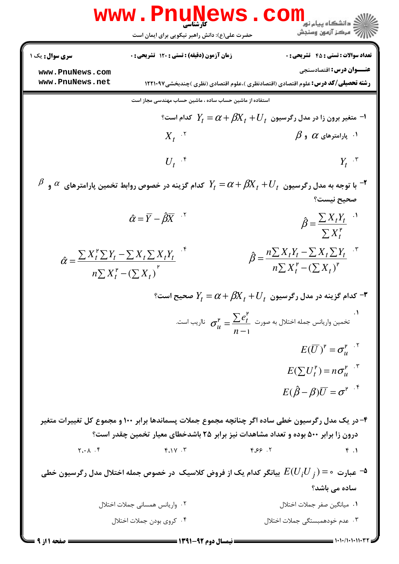|                        | www . Pnu<br><b>ews</b><br><b>َ کارشناسی</b><br>حضرت علی(ع): دانش راهبر نیکویی برای ایمان است                | دانشگاه پیام نور<br>ر آمرڪز آزمون وسنڊش                                                                                                                                                |
|------------------------|--------------------------------------------------------------------------------------------------------------|----------------------------------------------------------------------------------------------------------------------------------------------------------------------------------------|
| <b>سری سوال :</b> یک ۱ | <b>زمان آزمون (دقیقه) : تستی : 120 گشریحی : 0</b>                                                            | <b>تعداد سوالات : تستی : 45 - تشریحی : 0</b>                                                                                                                                           |
| www.PnuNews.com        |                                                                                                              | <b>عنـــوان درس:</b> اقتصادسنجي                                                                                                                                                        |
| www.PnuNews.net        |                                                                                                              | <b>رشته تحصیلی/کد درس:</b> علوم اقتصادی (اقتصادنظری )،علوم اقتصادی (نظری )چندبخشی1۲۲۱۰۹۷                                                                                               |
|                        | استفاده از ماشین حساب ساده ، ماشین حساب مهندسی مجاز است                                                      |                                                                                                                                                                                        |
|                        |                                                                                                              | ا− متغیر برون زا در مدل رگرسیون $U_{\,t}+U_{\,t}$ کدام است؟                                                                                                                            |
|                        | $X_t$ <sup>.</sup>                                                                                           | $\,\,\beta\,$ ۹ پارامترهای $\,\,\alpha\,$ و $\,\,\beta$                                                                                                                                |
|                        | $U_t$ <sup><math>\cdot</math> <math>\mathfrak{r}</math></sup>                                                | $Y_t$ <sup>., <math>\mathbf{r}</math></sup>                                                                                                                                            |
|                        |                                                                                                              | $^{\beta}$ با توجه به مدل رگرسیون $U_{t}+U_{t}+\beta$ $\alpha+\beta$ کدام گزینه در خصوص روابط تخمین پارامترهای $^{\alpha}$ و $^{\beta}$<br>صحيح نيست؟                                  |
|                        | $\hat{\alpha} = \overline{Y} - \hat{\beta} \overline{X}$ '                                                   | $\hat{\beta} = \frac{\sum X_t Y_t}{\sum X_t^{\mathsf{P}}}$                                                                                                                             |
|                        | $\hat{\alpha} = \frac{\sum X_t^{\nu} \sum Y_t - \sum X_t \sum X_t Y_t}{n \sum X_t^{\nu} - (\sum X_t)^{\nu}}$ | $\hat{\beta} = \frac{n \sum X_t Y_t - \sum X_t \sum Y_t}{n \sum X_t^{\nu} - (\sum X_t)^{\nu}}$                                                                                         |
|                        |                                                                                                              | °- کدام گزینه در مدل رگرسیون $U_t + \beta\!X_t + \gamma = Y_t = \alpha + \gamma$ صحیح است $f$                                                                                          |
|                        |                                                                                                              | تخمین واریانس جمله اختلال به صورت $\frac{\sum e^{\mathfrak{p}}_t}{n-1}=\sigma^{\mathfrak{p}}_u=\sigma^{\mathfrak{p}}_u$ نااریب است.                                                    |
|                        |                                                                                                              | $E(\overline{U})^{\mathsf{P}} = \sigma_u^{\mathsf{P}}$ .                                                                                                                               |
|                        |                                                                                                              | $E(\sum U_t^{\mathsf{p}}) = n\sigma_u^{\mathsf{p}}$ .                                                                                                                                  |
|                        |                                                                                                              | $E(\hat{\beta}-\beta)\overline{U}=\sigma^{\mu}$ . <sup>*</sup>                                                                                                                         |
|                        |                                                                                                              | ۴- در یک مدل رگرسیون خطی ساده اگر چنانچه مجموع جملات پسماندها برابر ۱۰۰ و مجموع کل تغییرات متغیر<br>درون زا برابر ۵۰۰ بوده و تعداد مشاهدات نیز برابر ۲۵ باشدخطای معیار تخمین چقدر است؟ |
| $Y \cdot \Lambda$ . ۴  | F.1V.7                                                                                                       | Y. 99.7<br>f.1                                                                                                                                                                         |
|                        |                                                                                                              | عبارت $\circ = E(U_i U_j)$ بیانگر کدام یک از فروض کلاسیک در خصوص جمله اختلال مدل رگرسیون خطی $-$ ۵                                                                                     |
|                        |                                                                                                              | سادہ می باشد؟                                                                                                                                                                          |
|                        | ۰۲ واریانس همسانی جملات اختلال                                                                               | ۰۱ میانگین صفر جملات اختلال                                                                                                                                                            |
|                        | ۰۴ کروی بودن جملات اختلال                                                                                    | ۰۳ عدم خودهمبستگی جملات اختلال                                                                                                                                                         |
|                        | ــــــــ نیمسال دوم ۹۲-۱۳۹۱ ــــــــ                                                                         |                                                                                                                                                                                        |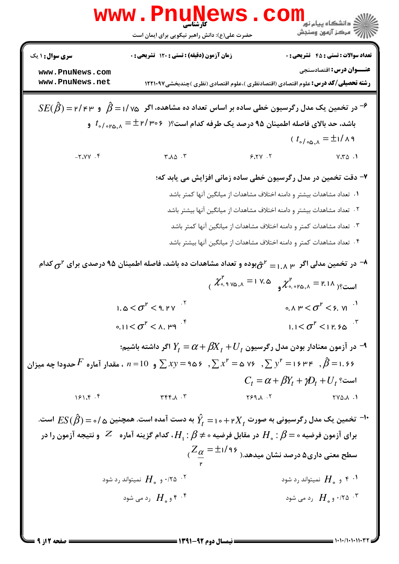|                                    | WWW.FN<br>کارشناسی<br>حضرت علی(ع): دانش راهبر نیکویی برای ایمان است                                                                                                                                                     |                                                                                                                               | ی<br>دانشکاه پیام نور<br> V مرکز آزمون وسنجش                                         |
|------------------------------------|-------------------------------------------------------------------------------------------------------------------------------------------------------------------------------------------------------------------------|-------------------------------------------------------------------------------------------------------------------------------|--------------------------------------------------------------------------------------|
| <b>سری سوال :</b> ۱ یک             | زمان آزمون (دقیقه) : تستی : ۱۲۰ تشریحی : ۰                                                                                                                                                                              |                                                                                                                               | <b>تعداد سوالات : تستی : 45 - تشریحی : 0</b>                                         |
| www.PnuNews.com<br>www.PnuNews.net |                                                                                                                                                                                                                         | <b>رشته تحصیلی/کد درس:</b> علوم اقتصادی (اقتصادنظری )،علوم اقتصادی (نظری )چندبخشی1۲۲۱۰۹۷                                      | <b>عنـــوان درس:</b> اقتصادسنجی                                                      |
|                                    | $SE(\hat{\beta})$ در تخمین یک مدل رگرسیون خطی ساده بر اساس تعداد ده مشاهده، اگر $\hat{\beta}$ در ۳۰ / ۲ $\hat{\beta}$ و ۳                                                                                               |                                                                                                                               |                                                                                      |
|                                    | باشد، حد بالای فاصله اطمینان ۹۵ درصد یک طرفه کدام است؟( $\pm$ ۲/ ۳۰۲ $t_{\circ/\circ r$ ۵٫۸ و                                                                                                                           |                                                                                                                               |                                                                                      |
|                                    |                                                                                                                                                                                                                         |                                                                                                                               | $(t_{\text{a/o},\alpha,\lambda} = \pm 1/\lambda$ ۹                                   |
| $-7.7Y.7$                          | $\mathsf{r}.\wedge \vartriangle \cdot \mathsf{r}$                                                                                                                                                                       | 9.7V.7                                                                                                                        | $V_r$ $\uparrow$ 0 $\uparrow$ 1                                                      |
|                                    |                                                                                                                                                                                                                         | ۷- دقت تخمین در مدل رگرسیون خطی ساده زمانی افزایش می یابد که؛                                                                 |                                                                                      |
|                                    |                                                                                                                                                                                                                         | ۰۱ تعداد مشاهدات بیشتر و دامنه اختلاف مشاهدات از میانگین آنها کمتر باشد                                                       |                                                                                      |
|                                    |                                                                                                                                                                                                                         | ۰۲ تعداد مشاهدات بیشتر و دامنه اختلاف مشاهدات از میانگین آنها بیشتر باشد                                                      |                                                                                      |
|                                    |                                                                                                                                                                                                                         | ۰۳ تعداد مشاهدات کمتر و دامنه اختلاف مشاهدات از میانگین آنها کمتر باشد                                                        |                                                                                      |
|                                    |                                                                                                                                                                                                                         | ۰۴ تعداد مشاهدات کمتر و دامنه اختلاف مشاهدات از میانگین آنها بیشتر باشد                                                       |                                                                                      |
|                                    | در تخمین مدلی اگر $\frac{1}{\alpha}$ بره و تعداد مشاهدات ده باشد، فاصله اطمینان ۹۵ درصدی برای ۲ $\sigma^$ کدام $\lambda$                                                                                                |                                                                                                                               |                                                                                      |
|                                    |                                                                                                                                                                                                                         | $\chi^{\mu}_{\circ, \gamma}$ است؟( ۲۰۱۸ = ۲.۱۸ م $\chi^{\mu}_{\circ, \circ \gamma}$ و ۱۷.۵ $\chi^{\mu}_{\circ, \circ \gamma}$ |                                                                                      |
|                                    | 1. $\Delta < \sigma^P <$ 9. PV                                                                                                                                                                                          |                                                                                                                               | 0. $\wedge$ $\mu$ $<$ $\sigma$ <sup><math>\mu</math></sup> $<$ $\phi$ . $\vee$ $\mu$ |
|                                    | $\circ$ .11 $<$ $\sigma$ <sup>P</sup> $<$ $\land$ . Pq <sup>-f</sup>                                                                                                                                                    |                                                                                                                               | 1.1 $<$ $\sigma$ <sup>P</sup> $<$ 1 P. 9 $\alpha$                                    |
|                                    | در آزمون معنادار بودن مدل رگرسیون $U_t+X_t+\beta$ $\gamma_t=Y_t$ اگر داشته باشیم؛ $\blacktriangleleft$                                                                                                                  |                                                                                                                               |                                                                                      |
|                                    | ه ۱۰۶۹ – ۱۶ ۳ $y^{\mathfrak{p}}=1$ و $n=10$ ، مقدار آماره $F$ حدودا چه میزان $\sum x^{\mathfrak{p}}=\mathfrak{a}\circ \sum x^{\mathfrak{p}}=\mathfrak{a}\circ \sum x^{\mathfrak{p}}=1$ ، مقدار آماره $F$ حدودا چه میزان |                                                                                                                               |                                                                                      |
|                                    |                                                                                                                                                                                                                         |                                                                                                                               | $C_t = \alpha + \beta Y_t + \gamma D_t + U_t$ است؟                                   |
| 151.5.5                            | $T - \Lambda$                                                                                                                                                                                                           | 799.A.T                                                                                                                       | $YV\triangle A$ .                                                                    |
|                                    | نخمین یک مدل رگرسیونی به صورت $Y_t$ ۲ + ه ۱ $\hat{Y}_t = \hat{Y}_t$ به دست آمده است. همچنین ۵ / ه $\mathcal{S}(\hat{\beta}) = ES(\hat{\beta}) = E$ است.                                                                 |                                                                                                                               |                                                                                      |
|                                    | برای آزمون فرضیه ه $\beta = H_\circ : H_\circ : H_\circ : H_\circ : H_\circ : A$ ، کدام گزینه آماره $Z$ و نتیجه آزمون را در                                                                                             |                                                                                                                               |                                                                                      |
|                                    |                                                                                                                                                                                                                         | $\alpha = \frac{1}{2}$ سطح معنی داری۵ درصد نشان میدهد.( ۱/۹۶ $\frac{\alpha}{n} = \frac{1}{2}$                                 |                                                                                      |
|                                    | ۰/۲۵ $\,$ ۰ و $\,$ $H$ نمیتواند رد شود $\,$ ۰                                                                                                                                                                           |                                                                                                                               | و $H$ نمیتواند رد شود $^\mathsf{r}$ . ۱                                              |
|                                    | و $H$ رد می شود $H$                                                                                                                                                                                                     |                                                                                                                               | ۰، ۲۵ $H$ ۰ و می شود $H$ ۰، و می شود $^\mathsf{r}$                                   |
|                                    |                                                                                                                                                                                                                         |                                                                                                                               |                                                                                      |

 $1.1.11.1.11$ 

صفحه 2 از 9 =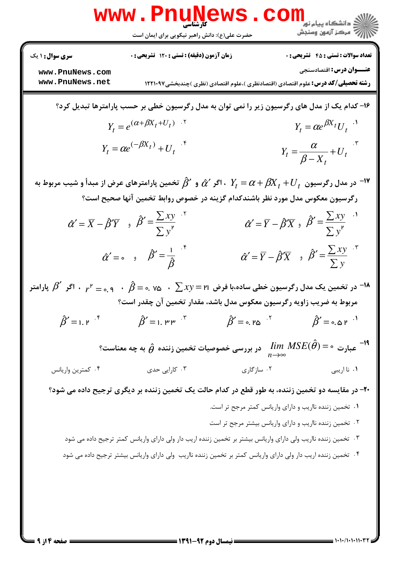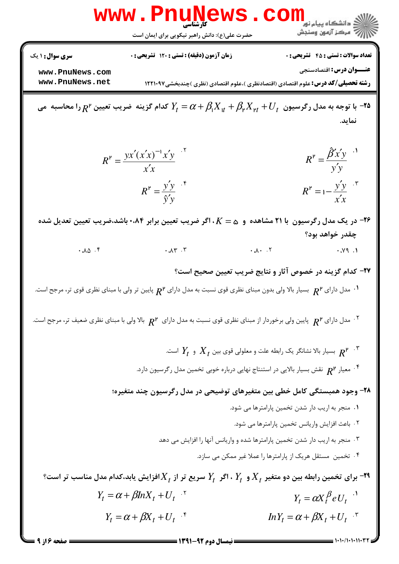|                                    | WWW.Pnun<br>حضرت علی(ع): دانش راهبر نیکویی برای ایمان است | ڪ دانشڪاه پيا <sub>م</sub> نور<br>7ء مرڪز آزمون وسنڊش                                                                                                         |
|------------------------------------|-----------------------------------------------------------|---------------------------------------------------------------------------------------------------------------------------------------------------------------|
| <b>سری سوال : ۱ یک</b>             | <b>زمان آزمون (دقیقه) : تستی : 120 تشریحی : 0</b>         | <b>تعداد سوالات : تستي : 45 گشريحي : 0</b>                                                                                                                    |
| www.PnuNews.com<br>www.PnuNews.net |                                                           | <b>عنـــوان درس:</b> اقتصادسنجي<br><b>رشته تحصیلی/کد درس:</b> علوم اقتصادی (اقتصادنظری )،علوم اقتصادی (نظری )چندبخشی1۲۲۱۰۹۷                                   |
|                                    |                                                           | ا توجه به مدل رگرسیون $V_t+\beta_{\sf t}X_{\sf t}+\beta_{\sf t}X_{\sf t}+\beta_{\sf t}X_{\sf t}+\cdots$ کدام گزینه  ضریب تعیین '' $R$ را محاسبه  می<br>نمايد. |
|                                    | $R^{\nu} = \frac{yx'(x'x)^{-1}x'y}{x'x}$                  | $R^{\nu} = \frac{\hat{\beta}' x' y}{\hat{y}' y}$ <sup></sup>                                                                                                  |
|                                    | $R^{\mathsf{P}} = \frac{y'y}{\hat{y}'y}$                  | $R^{\nu} = 1 - \frac{y'y}{x'x}$                                                                                                                               |
|                                    |                                                           | در یک مدل رگرسیون با ۲۱ مشاهده و $\alpha=K$ ، اگر ضریب تعیین برابر ۰،۸۴+ باشد،ضریب تعیین تعدیل شده $\blacktriangleright$<br>چقدر خواهد بود؟                   |
| $4.10$ .                           | $\cdot \lambda \Upsilon \cdot \Upsilon$                   | $\cdot \lambda \cdot \cdot \cdot$<br>$\cdot$ $\gamma$ 9.1                                                                                                     |
|                                    |                                                           | ۲۷- کدام گزینه در خصوص آثار و نتایج ضریب تعیین صحیح است؟                                                                                                      |
|                                    |                                                           | $\cdot$ مدل دارای $R^$ بسیار بالا ولی بدون مبنای نظری قوی نسبت به مدل دارای $R^{\mathsf{v}}$ پایین تر ولی با مبنای نظری قوی تر، مرجح است.                     |
|                                    |                                                           | د. مدل دارای $R^\mathsf{p}$ پایین ولی برخوردار از مبنای نظری قوی نسبت به مدل دارای $R^\mathsf{p}$ بالا ولی با مبنای نظری ضعیف تر، مرجح است. $^\mathsf{r}$     |
|                                    |                                                           | بسیار بالا نشانگر یک رابطه علت و معلولی قوی بین $X_t$ و $Y_t$ است. $R^{\mathfrak{p} \to \mathfrak{p}^\mathfrak{p}}$ . $^\mathfrak{p}$                         |
|                                    |                                                           | ه معیار $R^{\mathsf{P}}$ نقش بسیار بالایی در استنتاج نهایی درباره خوبی تخمین مدل رگرسیون دارد. $^\mathsf{F}$                                                  |
|                                    |                                                           | ۲۸- وجود همبستگی کامل خطی بین متغیرهای توضیحی در مدل رگرسیون چند متغیره؛                                                                                      |
|                                    |                                                           | ٠١ منجر به اريب دار شدن تخمين پارامترها مي شود.                                                                                                               |
|                                    |                                                           | ٠٢ باعث افزايش واريانس تخمين پارامترها مي شود.<br>۰۳ منجر به اریب دار شدن تخمین پارامترها شده و واریانس آنها را افزایش می دهد                                 |
|                                    |                                                           | ۰۴ تخمین مستقل هریک از پارامترها را عملا غیر ممکن می سازد.                                                                                                    |
|                                    |                                                           | برای تخمین رابطه بین دو متغیر $X_t$ و $Y_t$ ، اگر $Y_t$ سریع تر از $X_t$ افزایش یابد،کدام مدل مناسب تر است؟ $\bullet$                                         |
|                                    | $Y_t = \alpha + \beta lnX_t + U_t$ <sup>.</sup>           | $Y_t = \alpha X_t^{\beta} e U_t$ <sup>.</sup>                                                                                                                 |
|                                    | $Y_t = \alpha + \beta X_t + U_t$ <sup>*</sup>             | $ln Y_t = \alpha + \beta X_t + U_t$ <sup>.*</sup>                                                                                                             |
|                                    |                                                           | = 1+1+/1+1+11+37                                                                                                                                              |

صفحه ۱۶ز ۹ =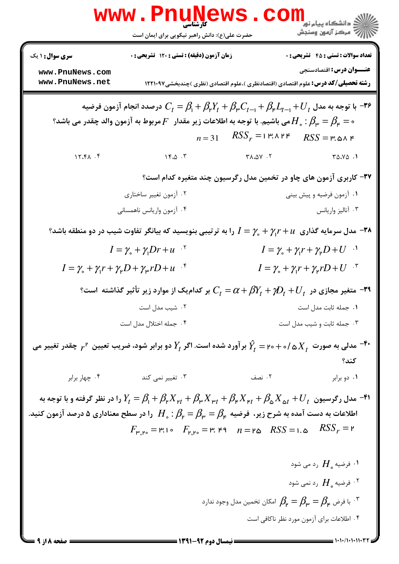|                                    | www.PnuNews                                                                                                                                                                                                                                                                                                                                                                                                                                                                                     |                                                                                                           | دانشڪاه پيام نور<br>ا∛ مرڪز آزمون وسنڊش                                           |
|------------------------------------|-------------------------------------------------------------------------------------------------------------------------------------------------------------------------------------------------------------------------------------------------------------------------------------------------------------------------------------------------------------------------------------------------------------------------------------------------------------------------------------------------|-----------------------------------------------------------------------------------------------------------|-----------------------------------------------------------------------------------|
|                                    | حضرت علی(ع): دانش راهبر نیکویی برای ایمان است                                                                                                                                                                                                                                                                                                                                                                                                                                                   |                                                                                                           |                                                                                   |
| <b>سری سوال : ۱ یک</b>             | زمان آزمون (دقیقه) : تستی : ۱۲۰ تشریحی : ۰                                                                                                                                                                                                                                                                                                                                                                                                                                                      |                                                                                                           | <b>تعداد سوالات : تستی : 45 گشریحی : 0</b>                                        |
| www.PnuNews.com<br>www.PnuNews.net |                                                                                                                                                                                                                                                                                                                                                                                                                                                                                                 | <b>رشته تحصیلی/کد درس:</b> علوم اقتصادی (اقتصادنظری )،علوم اقتصادی (نظری )چندبخشی1۲۲۱۰۹۷                  | <b>عنـــوان درس:</b> اقتصادسنجي                                                   |
|                                    | ا توجه به مدل $U_{t}+J_{\mu}L_{t-1}+\beta_{\mu}K_{t}+\beta_{\mu}K_{t-1}+\beta_{\mu}L_{t-1}+U_{t}$ درصدد انجام آزمون فرضيه "<br>هی باشیم. با توجه به اطلاعات زیر مقدار $F$ مربوط به آزمون والد چقدر می باشد؟ $H$ . $\beta_{\sf \mu}=\beta_{\sf \mu}=\circ$                                                                                                                                                                                                                                       |                                                                                                           |                                                                                   |
|                                    |                                                                                                                                                                                                                                                                                                                                                                                                                                                                                                 | $n=31$ $RSS_r = 1$ $RSS = 1$ $RSS = 12.8$                                                                 |                                                                                   |
| 15.81.5                            | $Y^{\ast} \omega \cdot Y$ $Y^{\ast} \omega Y \cdot Y$                                                                                                                                                                                                                                                                                                                                                                                                                                           |                                                                                                           | $T\Delta \cdot Y\Delta$ .                                                         |
|                                    |                                                                                                                                                                                                                                                                                                                                                                                                                                                                                                 | ۳۷- کاربری آزمون های چاو در تخمین مدل رگرسیون چند متغیره کدام است؟                                        |                                                                                   |
|                                    | ۰۲ آزمون تغییر ساختاری                                                                                                                                                                                                                                                                                                                                                                                                                                                                          |                                                                                                           | ۰۱ آزمون فرضیه و پیش بینی                                                         |
|                                    | ۰۴ آزمون واريانس ناهمساني                                                                                                                                                                                                                                                                                                                                                                                                                                                                       |                                                                                                           | ۰۳ آناليز واريانس                                                                 |
|                                    | ۰۳۸ مدل سرمایه گذاری $\gamma_1r+\gamma_4r+\gamma_5$ را به ترتیبی بنویسید که بیانگر تفاوت شیب در دو منطقه باشد $^{\circ}$                                                                                                                                                                                                                                                                                                                                                                        |                                                                                                           |                                                                                   |
|                                    | $I = \gamma_{\circ} + \gamma_{\circ}Dr + u^{-1}$                                                                                                                                                                                                                                                                                                                                                                                                                                                |                                                                                                           | $I = \gamma_{\circ} + \gamma_{\uparrow} r + \gamma_{\uparrow} D + U$ <sup>1</sup> |
|                                    | $I = \gamma_{\circ} + \gamma_{\uparrow} r + \gamma_{\uparrow} D + \gamma_{\uparrow} r D + u^{-\mathfrak{f}}$                                                                                                                                                                                                                                                                                                                                                                                    |                                                                                                           | $I = \gamma_{\circ} + \gamma_{\uparrow} r + \gamma_{\uparrow} r D + U$ .          |
|                                    | °۳۹ متغیر مجازی در $D_t + \mathcal{D}_t + \mathcal{D}_t + \mathcal{C}_t = \alpha + \beta$ بر کدامیک از موارد زیر تأثیر گذاشته است $\mathcal{C}_t$                                                                                                                                                                                                                                                                                                                                               |                                                                                                           |                                                                                   |
|                                    | ۰۲ شیب مدل است                                                                                                                                                                                                                                                                                                                                                                                                                                                                                  | ۰۱ جمله ثابت مدل است                                                                                      |                                                                                   |
|                                    | ۰۴ جمله اختلال مدل است                                                                                                                                                                                                                                                                                                                                                                                                                                                                          |                                                                                                           | ۰۳ جمله ثابت و شیب مدل است                                                        |
|                                    | مدلی به صورت $X^-_t$ ۵ /ه $\delta X^-_t$ بر آورد شده است. اگر $Y^{}_t$ دو برابر شود، ضریب تعیین $r^$ چقدر تغییر می $^{-4}$ ۰                                                                                                                                                                                                                                                                                                                                                                    |                                                                                                           | کند؟                                                                              |
| ۰۴ چهار برابر                      | ۰۳ تغییر نمی کند                                                                                                                                                                                                                                                                                                                                                                                                                                                                                | ۲. نصف                                                                                                    | ٠١ دو برابر                                                                       |
|                                    | مدل رگرسیون $U_{f}+J_{\alpha}$ دا در نظر گرفته و با توجه به $Y_{t}=\beta_{\rm t}+\beta_{\rm r}X_{\rm r}+\beta_{\rm r}X_{\rm r}+\beta_{\rm r}X_{\rm r}+\beta_{\rm s}X_{\rm r}+U_{\rm r}$ را در نظر گرفته و با توجه به<br>اطلاعات به دست آمده به شرح زیر، ۖفرضیه $\beta_{\sf \mu}=\beta_{\sf \mu}=\beta_{\sf \mu}=\{H_\circ: H_\circ: H_\circ:H_\circ\}$ را در سطح معناداری ۵ درصد آزمون کنید.<br>$F_{\mu,\mu} = \mu_1 \circ F_{\mu,\mu} = \mu \circ \mu = \mu \circ RSS = \mu \circ RSS_r = \mu$ |                                                                                                           |                                                                                   |
|                                    |                                                                                                                                                                                                                                                                                                                                                                                                                                                                                                 |                                                                                                           | ۰۱ فرضیه $H_\circ$ رد می شود $\cdot$ ۱                                            |
|                                    |                                                                                                                                                                                                                                                                                                                                                                                                                                                                                                 |                                                                                                           | فرضیه $H$ رد نمی شود $^{\circ}$                                                   |
|                                    |                                                                                                                                                                                                                                                                                                                                                                                                                                                                                                 | ا فرض م $\beta_{\mathsf{p}}=\beta_{\mathsf{p}}=\beta_{\mathsf{p}}=0$ امکان تخمین مدل وجود ندارد $\cdot$ " |                                                                                   |
|                                    |                                                                                                                                                                                                                                                                                                                                                                                                                                                                                                 |                                                                                                           | ۰۴ اطلاعات برای آزمون مورد نظر ناکافی است                                         |
| <b>= صفحه 15 از 9</b> <del>=</del> | <b>ــــــــــــــــــــــ ن</b> ىمسال دوم 92-1311 <b>ــــــــــــــ</b>                                                                                                                                                                                                                                                                                                                                                                                                                         |                                                                                                           |                                                                                   |